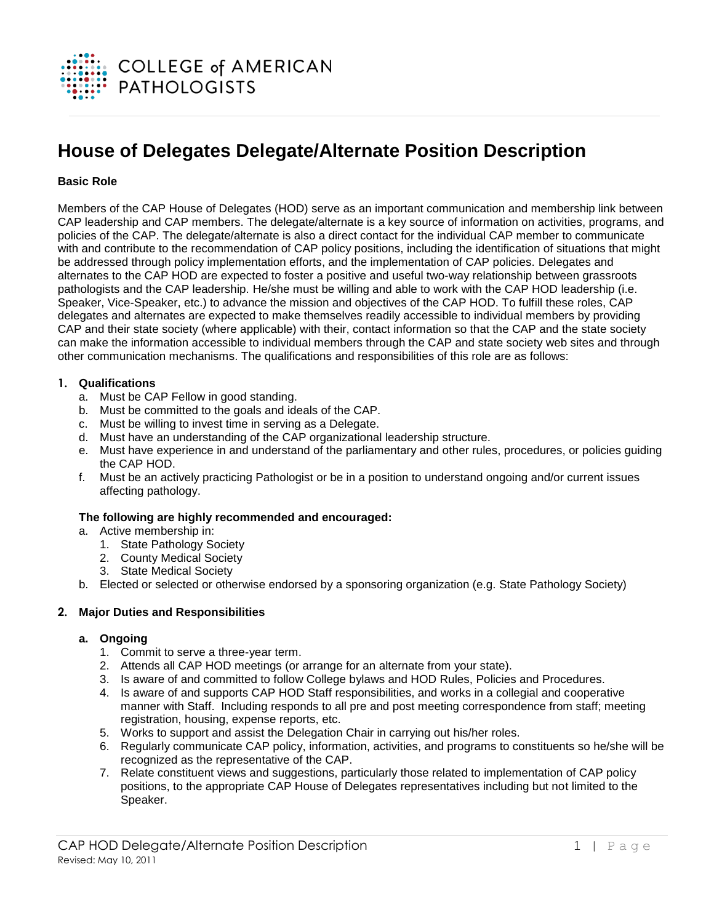

# **House of Delegates Delegate/Alternate Position Description**

# **Basic Role**

Members of the CAP House of Delegates (HOD) serve as an important communication and membership link between CAP leadership and CAP members. The delegate/alternate is a key source of information on activities, programs, and policies of the CAP. The delegate/alternate is also a direct contact for the individual CAP member to communicate with and contribute to the recommendation of CAP policy positions, including the identification of situations that might be addressed through policy implementation efforts, and the implementation of CAP policies. Delegates and alternates to the CAP HOD are expected to foster a positive and useful two-way relationship between grassroots pathologists and the CAP leadership. He/she must be willing and able to work with the CAP HOD leadership (i.e. Speaker, Vice-Speaker, etc.) to advance the mission and objectives of the CAP HOD. To fulfill these roles, CAP delegates and alternates are expected to make themselves readily accessible to individual members by providing CAP and their state society (where applicable) with their, contact information so that the CAP and the state society can make the information accessible to individual members through the CAP and state society web sites and through other communication mechanisms. The qualifications and responsibilities of this role are as follows:

## **1. Qualifications**

- a. Must be CAP Fellow in good standing.
- b. Must be committed to the goals and ideals of the CAP.
- c. Must be willing to invest time in serving as a Delegate.
- d. Must have an understanding of the CAP organizational leadership structure.
- e. Must have experience in and understand of the parliamentary and other rules, procedures, or policies guiding the CAP HOD.
- f. Must be an actively practicing Pathologist or be in a position to understand ongoing and/or current issues affecting pathology.

#### **The following are highly recommended and encouraged:**

- a. Active membership in:
	- 1. State Pathology Society
	- 2. County Medical Society
	- 3. State Medical Society
- b. Elected or selected or otherwise endorsed by a sponsoring organization (e.g. State Pathology Society)

# **2. Major Duties and Responsibilities**

#### **a. Ongoing**

- 1. Commit to serve a three-year term.
- 2. Attends all CAP HOD meetings (or arrange for an alternate from your state).
- 3. Is aware of and committed to follow College bylaws and HOD Rules, Policies and Procedures.
- 4. Is aware of and supports CAP HOD Staff responsibilities, and works in a collegial and cooperative manner with Staff. Including responds to all pre and post meeting correspondence from staff; meeting registration, housing, expense reports, etc.
- 5. Works to support and assist the Delegation Chair in carrying out his/her roles.
- 6. Regularly communicate CAP policy, information, activities, and programs to constituents so he/she will be recognized as the representative of the CAP.
- 7. Relate constituent views and suggestions, particularly those related to implementation of CAP policy positions, to the appropriate CAP House of Delegates representatives including but not limited to the Speaker.